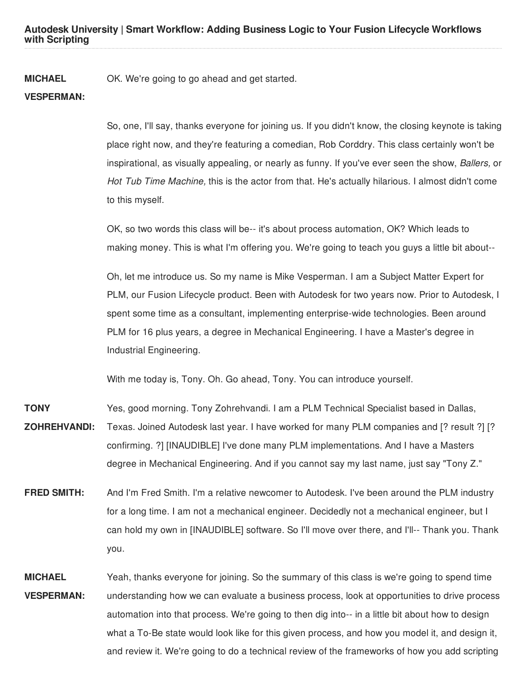**Autodesk University | Smart Workflow: Adding Business Logic to Your Fusion Lifecycle Workflows with Scripting**

**MICHAEL** OK. We're going to go ahead and get started.

## **VESPERMAN:**

So, one, I'll say, thanks everyone for joining us. If you didn't know, the closing keynote is taking place right now, and they're featuring a comedian, Rob Corddry. This class certainly won't be inspirational, as visually appealing, or nearly as funny. If you've ever seen the show, *Ballers,* or *Hot Tub Time Machine,* this is the actor from that. He's actually hilarious. I almost didn't come to this myself.

OK, so two words this class will be-- it's about process automation, OK? Which leads to making money. This is what I'm offering you. We're going to teach you guys a little bit about--

Oh, let me introduce us. So my name is Mike Vesperman. I am a Subject Matter Expert for PLM, our Fusion Lifecycle product. Been with Autodesk for two years now. Prior to Autodesk, I spent some time as a consultant, implementing enterprise-wide technologies. Been around PLM for 16 plus years, a degree in Mechanical Engineering. I have a Master's degree in Industrial Engineering.

With me today is, Tony. Oh. Go ahead, Tony. You can introduce yourself.

- **TONY ZOHREHVANDI:** Yes, good morning. Tony Zohrehvandi. I am a PLM Technical Specialist based in Dallas, Texas. Joined Autodesk last year. I have worked for many PLM companies and [? result ?] [? confirming. ?] [INAUDIBLE] I've done many PLM implementations. And I have a Masters degree in Mechanical Engineering. And if you cannot say my last name, just say "Tony Z."
- **FRED SMITH:** And I'm Fred Smith. I'm a relative newcomer to Autodesk. I've been around the PLM industry for a long time. I am not a mechanical engineer. Decidedly not a mechanical engineer, but I can hold my own in [INAUDIBLE] software. So I'll move over there, and I'll-- Thank you. Thank you.
- **MICHAEL VESPERMAN:** Yeah, thanks everyone for joining. So the summary of this class is we're going to spend time understanding how we can evaluate a business process, look at opportunities to drive process automation into that process. We're going to then dig into-- in a little bit about how to design what a To-Be state would look like for this given process, and how you model it, and design it, and review it. We're going to do a technical review of the frameworks of how you add scripting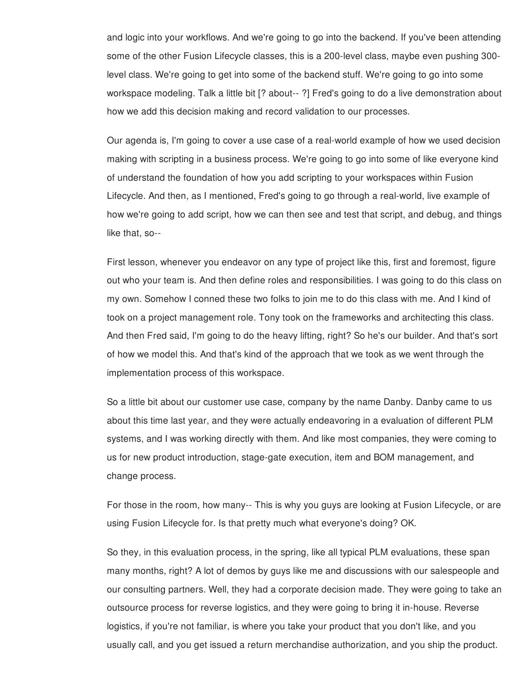and logic into your workflows. And we're going to go into the backend. If you've been attending some of the other Fusion Lifecycle classes, this is a 200-level class, maybe even pushing 300 level class. We're going to get into some of the backend stuff. We're going to go into some workspace modeling. Talk a little bit [? about-- ?] Fred's going to do a live demonstration about how we add this decision making and record validation to our processes.

Our agenda is, I'm going to cover a use case of a real-world example of how we used decision making with scripting in a business process. We're going to go into some of like everyone kind of understand the foundation of how you add scripting to your workspaces within Fusion Lifecycle. And then, as I mentioned, Fred's going to go through a real-world, live example of how we're going to add script, how we can then see and test that script, and debug, and things like that, so--

First lesson, whenever you endeavor on any type of project like this, first and foremost, figure out who your team is. And then define roles and responsibilities. I was going to do this class on my own. Somehow I conned these two folks to join me to do this class with me. And I kind of took on a project management role. Tony took on the frameworks and architecting this class. And then Fred said, I'm going to do the heavy lifting, right? So he's our builder. And that's sort of how we model this. And that's kind of the approach that we took as we went through the implementation process of this workspace.

So a little bit about our customer use case, company by the name Danby. Danby came to us about this time last year, and they were actually endeavoring in a evaluation of different PLM systems, and I was working directly with them. And like most companies, they were coming to us for new product introduction, stage-gate execution, item and BOM management, and change process.

For those in the room, how many-- This is why you guys are looking at Fusion Lifecycle, or are using Fusion Lifecycle for. Is that pretty much what everyone's doing? OK.

So they, in this evaluation process, in the spring, like all typical PLM evaluations, these span many months, right? A lot of demos by guys like me and discussions with our salespeople and our consulting partners. Well, they had a corporate decision made. They were going to take an outsource process for reverse logistics, and they were going to bring it in-house. Reverse logistics, if you're not familiar, is where you take your product that you don't like, and you usually call, and you get issued a return merchandise authorization, and you ship the product.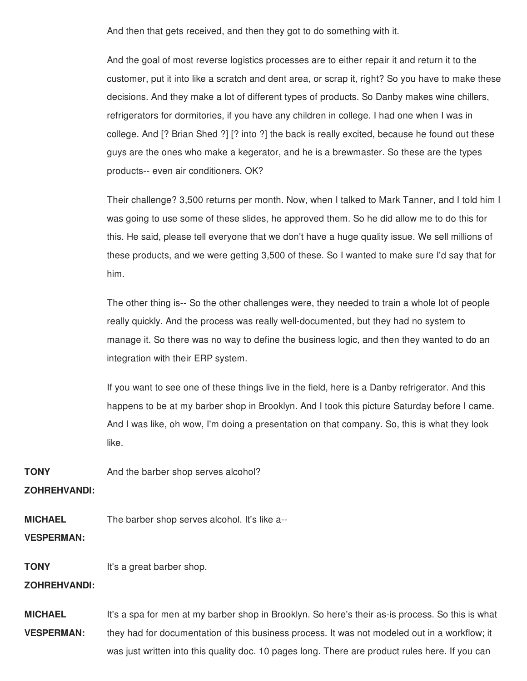And then that gets received, and then they got to do something with it.

And the goal of most reverse logistics processes are to either repair it and return it to the customer, put it into like a scratch and dent area, or scrap it, right? So you have to make these decisions. And they make a lot of different types of products. So Danby makes wine chillers, refrigerators for dormitories, if you have any children in college. I had one when I was in college. And [? Brian Shed ?] [? into ?] the back is really excited, because he found out these guys are the ones who make a kegerator, and he is a brewmaster. So these are the types products-- even air conditioners, OK?

Their challenge? 3,500 returns per month. Now, when I talked to Mark Tanner, and I told him I was going to use some of these slides, he approved them. So he did allow me to do this for this. He said, please tell everyone that we don't have a huge quality issue. We sell millions of these products, and we were getting 3,500 of these. So I wanted to make sure I'd say that for him.

The other thing is-- So the other challenges were, they needed to train a whole lot of people really quickly. And the process was really well-documented, but they had no system to manage it. So there was no way to define the business logic, and then they wanted to do an integration with their ERP system.

If you want to see one of these things live in the field, here is a Danby refrigerator. And this happens to be at my barber shop in Brooklyn. And I took this picture Saturday before I came. And I was like, oh wow, I'm doing a presentation on that company. So, this is what they look like.

**TONY** And the barber shop serves alcohol?

**ZOHREHVANDI:**

**MICHAEL** The barber shop serves alcohol. It's like a--

**VESPERMAN:**

**TONY** It's a great barber shop.

**ZOHREHVANDI:**

**MICHAEL VESPERMAN:** It's a spa for men at my barber shop in Brooklyn. So here's their as-is process. So this is what they had for documentation of this business process. It was not modeled out in a workflow; it was just written into this quality doc. 10 pages long. There are product rules here. If you can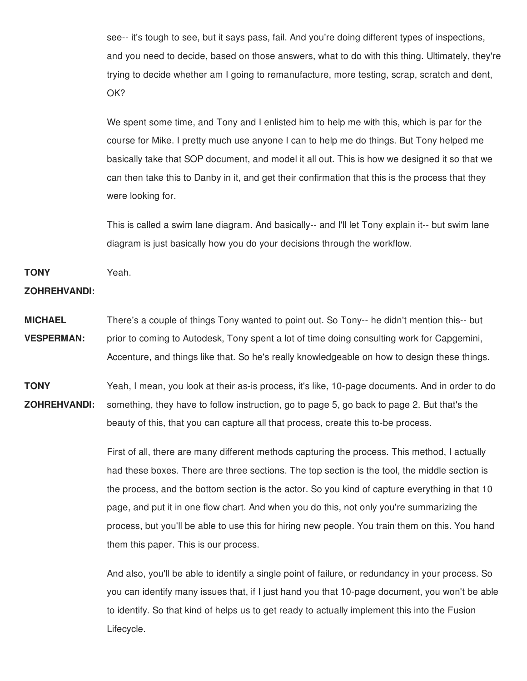see-- it's tough to see, but it says pass, fail. And you're doing different types of inspections, and you need to decide, based on those answers, what to do with this thing. Ultimately, they're trying to decide whether am I going to remanufacture, more testing, scrap, scratch and dent, OK?

We spent some time, and Tony and I enlisted him to help me with this, which is par for the course for Mike. I pretty much use anyone I can to help me do things. But Tony helped me basically take that SOP document, and model it all out. This is how we designed it so that we can then take this to Danby in it, and get their confirmation that this is the process that they were looking for.

This is called a swim lane diagram. And basically-- and I'll let Tony explain it-- but swim lane diagram is just basically how you do your decisions through the workflow.

**TONY** Yeah.

### **ZOHREHVANDI:**

**MICHAEL VESPERMAN:** There's a couple of things Tony wanted to point out. So Tony-- he didn't mention this-- but prior to coming to Autodesk, Tony spent a lot of time doing consulting work for Capgemini, Accenture, and things like that. So he's really knowledgeable on how to design these things.

**TONY ZOHREHVANDI:** Yeah, I mean, you look at their as-is process, it's like, 10-page documents. And in order to do something, they have to follow instruction, go to page 5, go back to page 2. But that's the beauty of this, that you can capture all that process, create this to-be process.

> First of all, there are many different methods capturing the process. This method, I actually had these boxes. There are three sections. The top section is the tool, the middle section is the process, and the bottom section is the actor. So you kind of capture everything in that 10 page, and put it in one flow chart. And when you do this, not only you're summarizing the process, but you'll be able to use this for hiring new people. You train them on this. You hand them this paper. This is our process.

> And also, you'll be able to identify a single point of failure, or redundancy in your process. So you can identify many issues that, if I just hand you that 10-page document, you won't be able to identify. So that kind of helps us to get ready to actually implement this into the Fusion Lifecycle.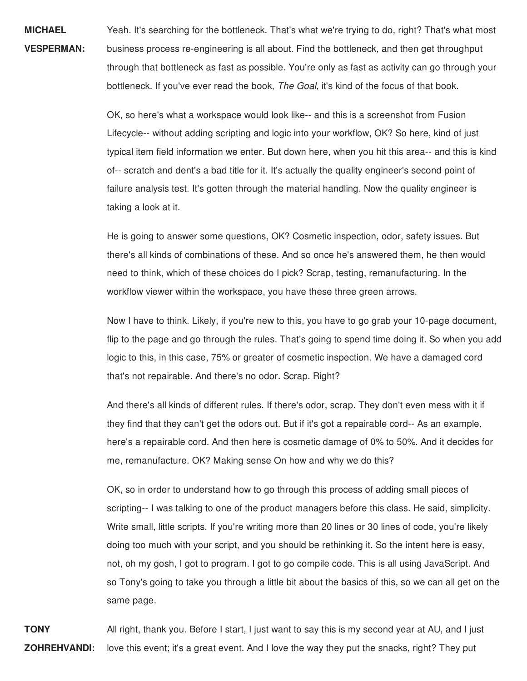**MICHAEL VESPERMAN:** Yeah. It's searching for the bottleneck. That's what we're trying to do, right? That's what most business process re-engineering is all about. Find the bottleneck, and then get throughput through that bottleneck as fast as possible. You're only as fast as activity can go through your bottleneck. If you've ever read the book, *The Goal,* it's kind of the focus of that book.

> OK, so here's what a workspace would look like-- and this is a screenshot from Fusion Lifecycle-- without adding scripting and logic into your workflow, OK? So here, kind of just typical item field information we enter. But down here, when you hit this area-- and this is kind of-- scratch and dent's a bad title for it. It's actually the quality engineer's second point of failure analysis test. It's gotten through the material handling. Now the quality engineer is taking a look at it.

He is going to answer some questions, OK? Cosmetic inspection, odor, safety issues. But there's all kinds of combinations of these. And so once he's answered them, he then would need to think, which of these choices do I pick? Scrap, testing, remanufacturing. In the workflow viewer within the workspace, you have these three green arrows.

Now I have to think. Likely, if you're new to this, you have to go grab your 10-page document, flip to the page and go through the rules. That's going to spend time doing it. So when you add logic to this, in this case, 75% or greater of cosmetic inspection. We have a damaged cord that's not repairable. And there's no odor. Scrap. Right?

And there's all kinds of different rules. If there's odor, scrap. They don't even mess with it if they find that they can't get the odors out. But if it's got a repairable cord-- As an example, here's a repairable cord. And then here is cosmetic damage of 0% to 50%. And it decides for me, remanufacture. OK? Making sense On how and why we do this?

OK, so in order to understand how to go through this process of adding small pieces of scripting-- I was talking to one of the product managers before this class. He said, simplicity. Write small, little scripts. If you're writing more than 20 lines or 30 lines of code, you're likely doing too much with your script, and you should be rethinking it. So the intent here is easy, not, oh my gosh, I got to program. I got to go compile code. This is all using JavaScript. And so Tony's going to take you through a little bit about the basics of this, so we can all get on the same page.

**TONY ZOHREHVANDI:** All right, thank you. Before I start, I just want to say this is my second year at AU, and I just love this event; it's a great event. And I love the way they put the snacks, right? They put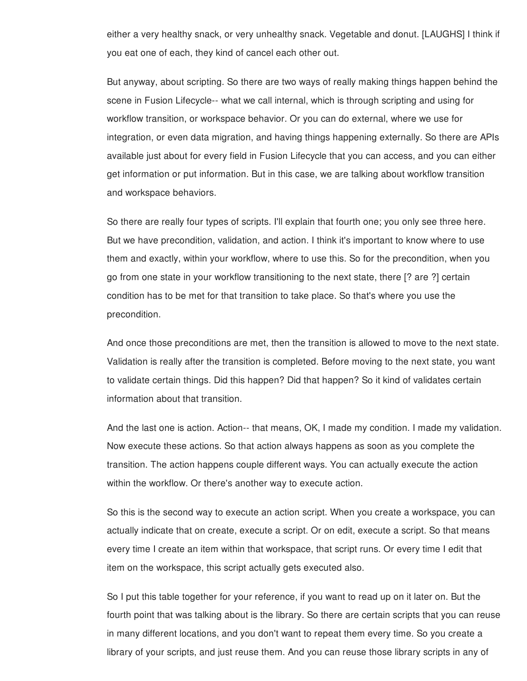either a very healthy snack, or very unhealthy snack. Vegetable and donut. [LAUGHS] I think if you eat one of each, they kind of cancel each other out.

But anyway, about scripting. So there are two ways of really making things happen behind the scene in Fusion Lifecycle-- what we call internal, which is through scripting and using for workflow transition, or workspace behavior. Or you can do external, where we use for integration, or even data migration, and having things happening externally. So there are APIs available just about for every field in Fusion Lifecycle that you can access, and you can either get information or put information. But in this case, we are talking about workflow transition and workspace behaviors.

So there are really four types of scripts. I'll explain that fourth one; you only see three here. But we have precondition, validation, and action. I think it's important to know where to use them and exactly, within your workflow, where to use this. So for the precondition, when you go from one state in your workflow transitioning to the next state, there [? are ?] certain condition has to be met for that transition to take place. So that's where you use the precondition.

And once those preconditions are met, then the transition is allowed to move to the next state. Validation is really after the transition is completed. Before moving to the next state, you want to validate certain things. Did this happen? Did that happen? So it kind of validates certain information about that transition.

And the last one is action. Action-- that means, OK, I made my condition. I made my validation. Now execute these actions. So that action always happens as soon as you complete the transition. The action happens couple different ways. You can actually execute the action within the workflow. Or there's another way to execute action.

So this is the second way to execute an action script. When you create a workspace, you can actually indicate that on create, execute a script. Or on edit, execute a script. So that means every time I create an item within that workspace, that script runs. Or every time I edit that item on the workspace, this script actually gets executed also.

So I put this table together for your reference, if you want to read up on it later on. But the fourth point that was talking about is the library. So there are certain scripts that you can reuse in many different locations, and you don't want to repeat them every time. So you create a library of your scripts, and just reuse them. And you can reuse those library scripts in any of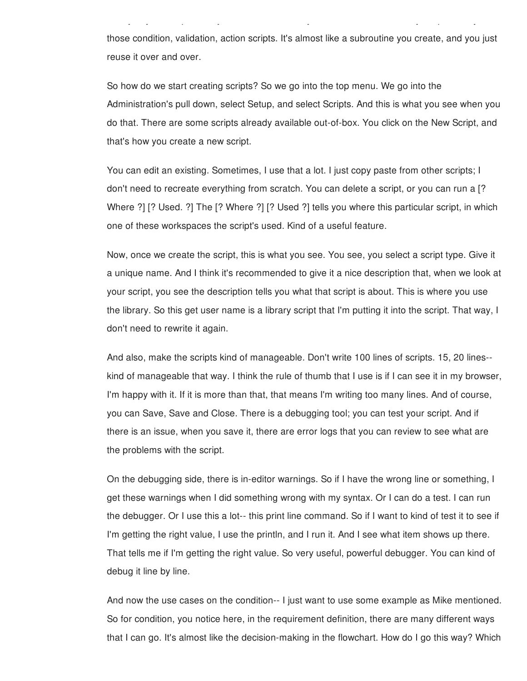those condition, validation, action scripts. It's almost like a subroutine you create, and you just reuse it over and over.

library of your scripts, and just reuse them. And you can reuse those library scripts in any of

So how do we start creating scripts? So we go into the top menu. We go into the Administration's pull down, select Setup, and select Scripts. And this is what you see when you do that. There are some scripts already available out-of-box. You click on the New Script, and that's how you create a new script.

You can edit an existing. Sometimes, I use that a lot. I just copy paste from other scripts; I don't need to recreate everything from scratch. You can delete a script, or you can run a [? Where ?] [? Used. ?] The [? Where ?] [? Used ?] tells you where this particular script, in which one of these workspaces the script's used. Kind of a useful feature.

Now, once we create the script, this is what you see. You see, you select a script type. Give it a unique name. And I think it's recommended to give it a nice description that, when we look at your script, you see the description tells you what that script is about. This is where you use the library. So this get user name is a library script that I'm putting it into the script. That way, I don't need to rewrite it again.

And also, make the scripts kind of manageable. Don't write 100 lines of scripts. 15, 20 lines- kind of manageable that way. I think the rule of thumb that I use is if I can see it in my browser, I'm happy with it. If it is more than that, that means I'm writing too many lines. And of course, you can Save, Save and Close. There is a debugging tool; you can test your script. And if there is an issue, when you save it, there are error logs that you can review to see what are the problems with the script.

On the debugging side, there is in-editor warnings. So if I have the wrong line or something, I get these warnings when I did something wrong with my syntax. Or I can do a test. I can run the debugger. Or I use this a lot-- this print line command. So if I want to kind of test it to see if I'm getting the right value, I use the println, and I run it. And I see what item shows up there. That tells me if I'm getting the right value. So very useful, powerful debugger. You can kind of debug it line by line.

And now the use cases on the condition-- I just want to use some example as Mike mentioned. So for condition, you notice here, in the requirement definition, there are many different ways that I can go. It's almost like the decision-making in the flowchart. How do I go this way? Which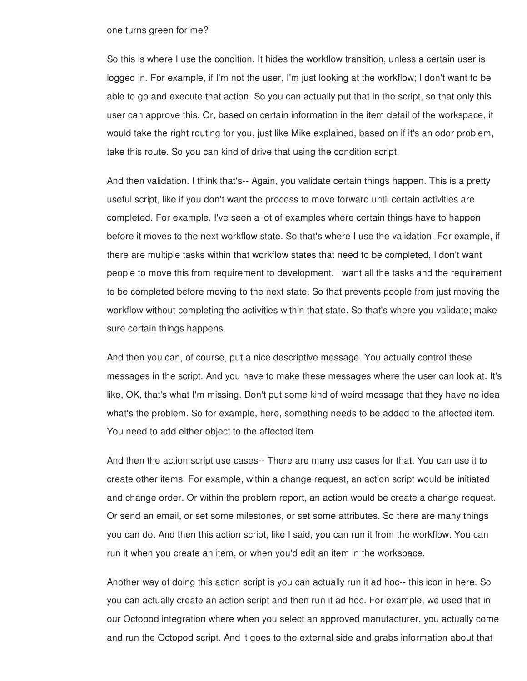#### one turns green for me?

So this is where I use the condition. It hides the workflow transition, unless a certain user is logged in. For example, if I'm not the user, I'm just looking at the workflow; I don't want to be able to go and execute that action. So you can actually put that in the script, so that only this user can approve this. Or, based on certain information in the item detail of the workspace, it would take the right routing for you, just like Mike explained, based on if it's an odor problem, take this route. So you can kind of drive that using the condition script.

And then validation. I think that's-- Again, you validate certain things happen. This is a pretty useful script, like if you don't want the process to move forward until certain activities are completed. For example, I've seen a lot of examples where certain things have to happen before it moves to the next workflow state. So that's where I use the validation. For example, if there are multiple tasks within that workflow states that need to be completed, I don't want people to move this from requirement to development. I want all the tasks and the requirement to be completed before moving to the next state. So that prevents people from just moving the workflow without completing the activities within that state. So that's where you validate; make sure certain things happens.

And then you can, of course, put a nice descriptive message. You actually control these messages in the script. And you have to make these messages where the user can look at. It's like, OK, that's what I'm missing. Don't put some kind of weird message that they have no idea what's the problem. So for example, here, something needs to be added to the affected item. You need to add either object to the affected item.

And then the action script use cases-- There are many use cases for that. You can use it to create other items. For example, within a change request, an action script would be initiated and change order. Or within the problem report, an action would be create a change request. Or send an email, or set some milestones, or set some attributes. So there are many things you can do. And then this action script, like I said, you can run it from the workflow. You can run it when you create an item, or when you'd edit an item in the workspace.

Another way of doing this action script is you can actually run it ad hoc-- this icon in here. So you can actually create an action script and then run it ad hoc. For example, we used that in our Octopod integration where when you select an approved manufacturer, you actually come and run the Octopod script. And it goes to the external side and grabs information about that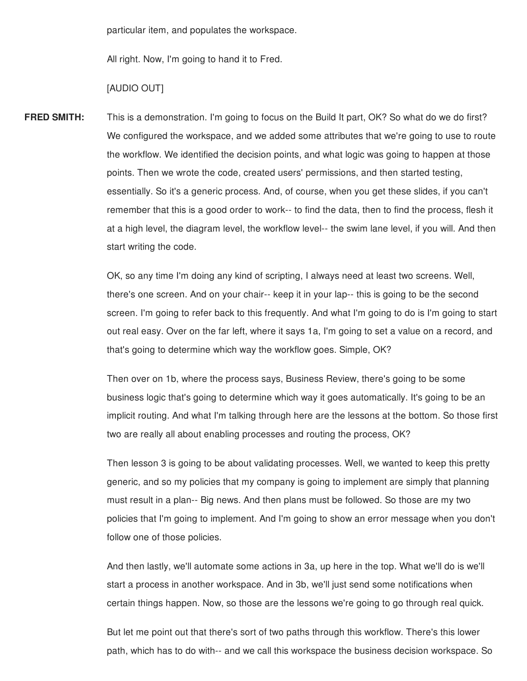particular item, and populates the workspace.

All right. Now, I'm going to hand it to Fred.

#### [AUDIO OUT]

**FRED SMITH:** This is a demonstration. I'm going to focus on the Build It part, OK? So what do we do first? We configured the workspace, and we added some attributes that we're going to use to route the workflow. We identified the decision points, and what logic was going to happen at those points. Then we wrote the code, created users' permissions, and then started testing, essentially. So it's a generic process. And, of course, when you get these slides, if you can't remember that this is a good order to work-- to find the data, then to find the process, flesh it at a high level, the diagram level, the workflow level-- the swim lane level, if you will. And then start writing the code.

> OK, so any time I'm doing any kind of scripting, I always need at least two screens. Well, there's one screen. And on your chair-- keep it in your lap-- this is going to be the second screen. I'm going to refer back to this frequently. And what I'm going to do is I'm going to start out real easy. Over on the far left, where it says 1a, I'm going to set a value on a record, and that's going to determine which way the workflow goes. Simple, OK?

> Then over on 1b, where the process says, Business Review, there's going to be some business logic that's going to determine which way it goes automatically. It's going to be an implicit routing. And what I'm talking through here are the lessons at the bottom. So those first two are really all about enabling processes and routing the process, OK?

> Then lesson 3 is going to be about validating processes. Well, we wanted to keep this pretty generic, and so my policies that my company is going to implement are simply that planning must result in a plan-- Big news. And then plans must be followed. So those are my two policies that I'm going to implement. And I'm going to show an error message when you don't follow one of those policies.

And then lastly, we'll automate some actions in 3a, up here in the top. What we'll do is we'll start a process in another workspace. And in 3b, we'll just send some notifications when certain things happen. Now, so those are the lessons we're going to go through real quick.

But let me point out that there's sort of two paths through this workflow. There's this lower path, which has to do with-- and we call this workspace the business decision workspace. So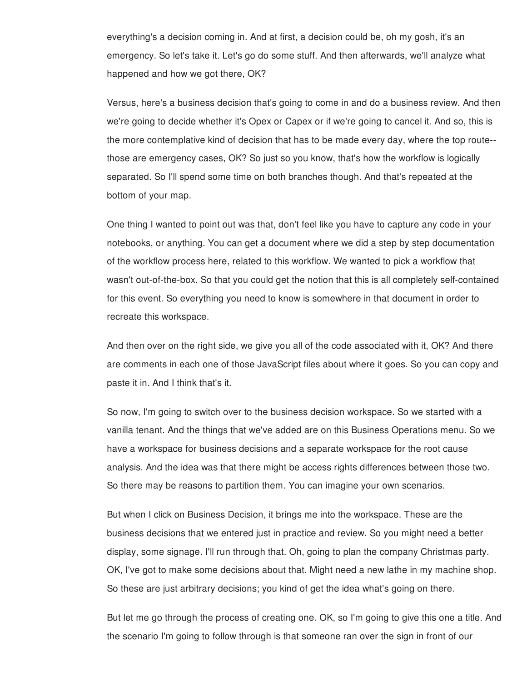everything's a decision coming in. And at first, a decision could be, oh my gosh, it's an emergency. So let's take it. Let's go do some stuff. And then afterwards, we'll analyze what happened and how we got there, OK?

Versus, here's a business decision that's going to come in and do a business review. And then we're going to decide whether it's Opex or Capex or if we're going to cancel it. And so, this is the more contemplative kind of decision that has to be made every day, where the top route- those are emergency cases, OK? So just so you know, that's how the workflow is logically separated. So I'll spend some time on both branches though. And that's repeated at the bottom of your map.

One thing I wanted to point out was that, don't feel like you have to capture any code in your notebooks, or anything. You can get a document where we did a step by step documentation of the workflow process here, related to this workflow. We wanted to pick a workflow that wasn't out-of-the-box. So that you could get the notion that this is all completely self-contained for this event. So everything you need to know is somewhere in that document in order to recreate this workspace.

And then over on the right side, we give you all of the code associated with it, OK? And there are comments in each one of those JavaScript files about where it goes. So you can copy and paste it in. And I think that's it.

So now, I'm going to switch over to the business decision workspace. So we started with a vanilla tenant. And the things that we've added are on this Business Operations menu. So we have a workspace for business decisions and a separate workspace for the root cause analysis. And the idea was that there might be access rights differences between those two. So there may be reasons to partition them. You can imagine your own scenarios.

But when I click on Business Decision, it brings me into the workspace. These are the business decisions that we entered just in practice and review. So you might need a better display, some signage. I'll run through that. Oh, going to plan the company Christmas party. OK, I've got to make some decisions about that. Might need a new lathe in my machine shop. So these are just arbitrary decisions; you kind of get the idea what's going on there.

But let me go through the process of creating one. OK, so I'm going to give this one a title. And the scenario I'm going to follow through is that someone ran over the sign in front of our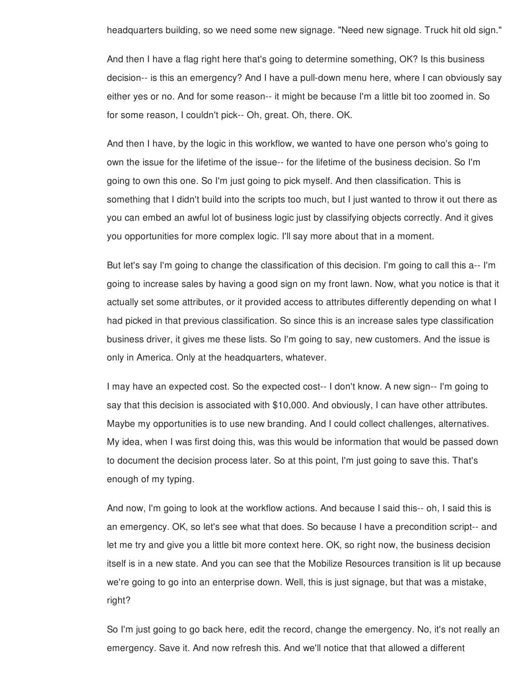headquarters building, so we need some new signage. "Need new signage. Truck hit old sign."

And then I have a flag right here that's going to determine something, OK? Is this business decision-- is this an emergency? And I have a pull-down menu here, where I can obviously say either yes or no. And for some reason-- it might be because I'm a little bit too zoomed in. So for some reason, I couldn't pick-- Oh, great. Oh, there. OK.

And then I have, by the logic in this workflow, we wanted to have one person who's going to own the issue for the lifetime of the issue-- for the lifetime of the business decision. So I'm going to own this one. So I'm just going to pick myself. And then classification. This is something that I didn't build into the scripts too much, but I just wanted to throw it out there as you can embed an awful lot of business logic just by classifying objects correctly. And it gives you opportunities for more complex logic. I'll say more about that in a moment.

But let's say I'm going to change the classification of this decision. I'm going to call this a-- I'm going to increase sales by having a good sign on my front lawn. Now, what you notice is that it actually set some attributes, or it provided access to attributes differently depending on what I had picked in that previous classification. So since this is an increase sales type classification business driver, it gives me these lists. So I'm going to say, new customers. And the issue is only in America. Only at the headquarters, whatever.

I may have an expected cost. So the expected cost-- I don't know. A new sign-- I'm going to say that this decision is associated with \$10,000. And obviously, I can have other attributes. Maybe my opportunities is to use new branding. And I could collect challenges, alternatives. My idea, when I was first doing this, was this would be information that would be passed down to document the decision process later. So at this point, I'm just going to save this. That's enough of my typing.

And now, I'm going to look at the workflow actions. And because I said this-- oh, I said this is an emergency. OK, so let's see what that does. So because I have a precondition script-- and let me try and give you a little bit more context here. OK, so right now, the business decision itself is in a new state. And you can see that the Mobilize Resources transition is lit up because we're going to go into an enterprise down. Well, this is just signage, but that was a mistake, right?

So I'm just going to go back here, edit the record, change the emergency. No, it's not really an emergency. Save it. And now refresh this. And we'll notice that that allowed a different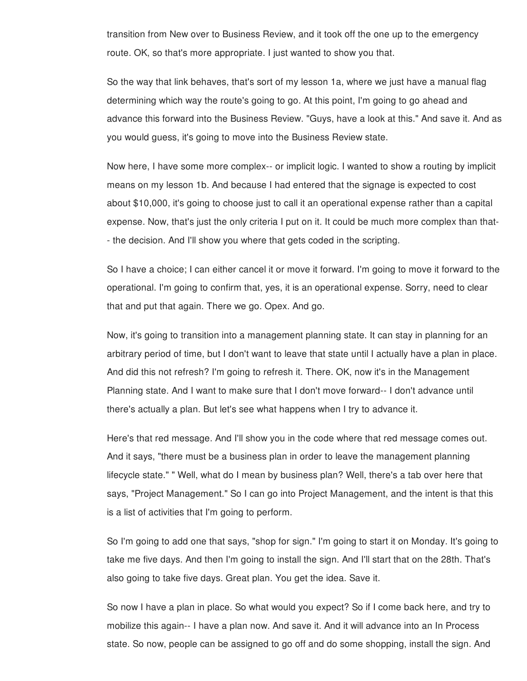transition from New over to Business Review, and it took off the one up to the emergency route. OK, so that's more appropriate. I just wanted to show you that.

So the way that link behaves, that's sort of my lesson 1a, where we just have a manual flag determining which way the route's going to go. At this point, I'm going to go ahead and advance this forward into the Business Review. "Guys, have a look at this." And save it. And as you would guess, it's going to move into the Business Review state.

Now here, I have some more complex-- or implicit logic. I wanted to show a routing by implicit means on my lesson 1b. And because I had entered that the signage is expected to cost about \$10,000, it's going to choose just to call it an operational expense rather than a capital expense. Now, that's just the only criteria I put on it. It could be much more complex than that- - the decision. And I'll show you where that gets coded in the scripting.

So I have a choice; I can either cancel it or move it forward. I'm going to move it forward to the operational. I'm going to confirm that, yes, it is an operational expense. Sorry, need to clear that and put that again. There we go. Opex. And go.

Now, it's going to transition into a management planning state. It can stay in planning for an arbitrary period of time, but I don't want to leave that state until I actually have a plan in place. And did this not refresh? I'm going to refresh it. There. OK, now it's in the Management Planning state. And I want to make sure that I don't move forward-- I don't advance until there's actually a plan. But let's see what happens when I try to advance it.

Here's that red message. And I'll show you in the code where that red message comes out. And it says, "there must be a business plan in order to leave the management planning lifecycle state." " Well, what do I mean by business plan? Well, there's a tab over here that says, "Project Management." So I can go into Project Management, and the intent is that this is a list of activities that I'm going to perform.

So I'm going to add one that says, "shop for sign." I'm going to start it on Monday. It's going to take me five days. And then I'm going to install the sign. And I'll start that on the 28th. That's also going to take five days. Great plan. You get the idea. Save it.

So now I have a plan in place. So what would you expect? So if I come back here, and try to mobilize this again-- I have a plan now. And save it. And it will advance into an In Process state. So now, people can be assigned to go off and do some shopping, install the sign. And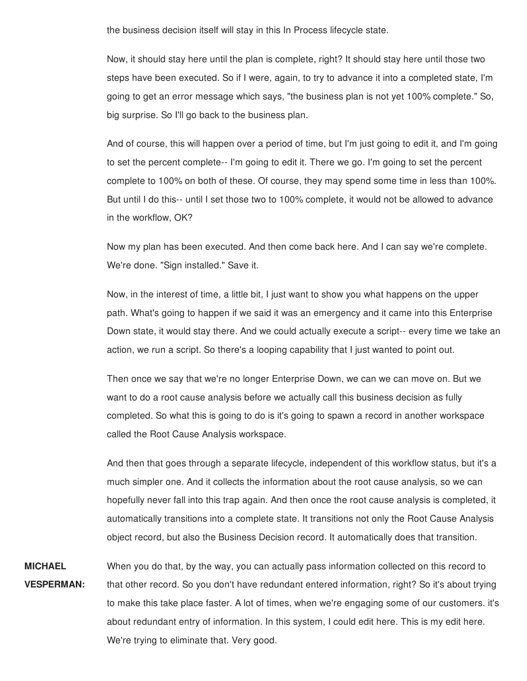the business decision itself will stay in this In Process lifecycle state.

Now, it should stay here until the plan is complete, right? It should stay here until those two steps have been executed. So if I were, again, to try to advance it into a completed state, I'm going to get an error message which says, "the business plan is not yet 100% complete." So, big surprise. So I'll go back to the business plan.

And of course, this will happen over a period of time, but I'm just going to edit it, and I'm going to set the percent complete-- I'm going to edit it. There we go. I'm going to set the percent complete to 100% on both of these. Of course, they may spend some time in less than 100%. But until I do this-- until I set those two to 100% complete, it would not be allowed to advance in the workflow, OK?

Now my plan has been executed. And then come back here. And I can say we're complete. We're done. "Sign installed." Save it.

Now, in the interest of time, a little bit, I just want to show you what happens on the upper path. What's going to happen if we said it was an emergency and it came into this Enterprise Down state, it would stay there. And we could actually execute a script-- every time we take an action, we run a script. So there's a looping capability that I just wanted to point out.

Then once we say that we're no longer Enterprise Down, we can we can move on. But we want to do a root cause analysis before we actually call this business decision as fully completed. So what this is going to do is it's going to spawn a record in another workspace called the Root Cause Analysis workspace.

And then that goes through a separate lifecycle, independent of this workflow status, but it's a much simpler one. And it collects the information about the root cause analysis, so we can hopefully never fall into this trap again. And then once the root cause analysis is completed, it automatically transitions into a complete state. It transitions not only the Root Cause Analysis object record, but also the Business Decision record. It automatically does that transition.

**MICHAEL VESPERMAN:** When you do that, by the way, you can actually pass information collected on this record to that other record. So you don't have redundant entered information, right? So it's about trying to make this take place faster. A lot of times, when we're engaging some of our customers. it's about redundant entry of information. In this system, I could edit here. This is my edit here. We're trying to eliminate that. Very good.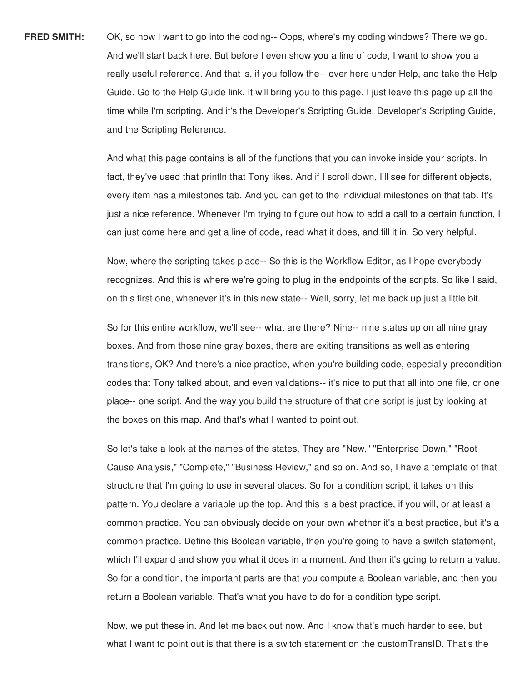**FRED SMITH:** OK, so now I want to go into the coding-- Oops, where's my coding windows? There we go. And we'll start back here. But before I even show you a line of code, I want to show you a really useful reference. And that is, if you follow the-- over here under Help, and take the Help Guide. Go to the Help Guide link. It will bring you to this page. I just leave this page up all the time while I'm scripting. And it's the Developer's Scripting Guide. Developer's Scripting Guide, and the Scripting Reference.

> And what this page contains is all of the functions that you can invoke inside your scripts. In fact, they've used that println that Tony likes. And if I scroll down, I'll see for different objects, every item has a milestones tab. And you can get to the individual milestones on that tab. It's just a nice reference. Whenever I'm trying to figure out how to add a call to a certain function, I can just come here and get a line of code, read what it does, and fill it in. So very helpful.

> Now, where the scripting takes place-- So this is the Workflow Editor, as I hope everybody recognizes. And this is where we're going to plug in the endpoints of the scripts. So like I said, on this first one, whenever it's in this new state-- Well, sorry, let me back up just a little bit.

So for this entire workflow, we'll see-- what are there? Nine-- nine states up on all nine gray boxes. And from those nine gray boxes, there are exiting transitions as well as entering transitions, OK? And there's a nice practice, when you're building code, especially precondition codes that Tony talked about, and even validations-- it's nice to put that all into one file, or one place-- one script. And the way you build the structure of that one script is just by looking at the boxes on this map. And that's what I wanted to point out.

So let's take a look at the names of the states. They are "New," "Enterprise Down," "Root Cause Analysis," "Complete," "Business Review," and so on. And so, I have a template of that structure that I'm going to use in several places. So for a condition script, it takes on this pattern. You declare a variable up the top. And this is a best practice, if you will, or at least a common practice. You can obviously decide on your own whether it's a best practice, but it's a common practice. Define this Boolean variable, then you're going to have a switch statement, which I'll expand and show you what it does in a moment. And then it's going to return a value. So for a condition, the important parts are that you compute a Boolean variable, and then you return a Boolean variable. That's what you have to do for a condition type script.

Now, we put these in. And let me back out now. And I know that's much harder to see, but what I want to point out is that there is a switch statement on the customTransID. That's the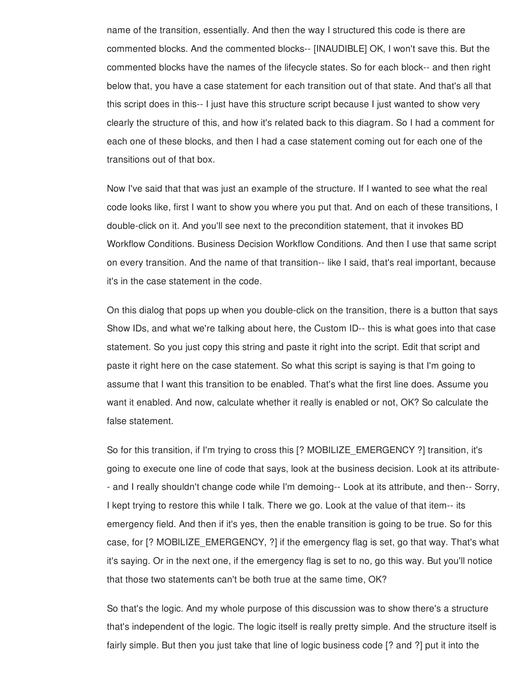name of the transition, essentially. And then the way I structured this code is there are commented blocks. And the commented blocks-- [INAUDIBLE] OK, I won't save this. But the commented blocks have the names of the lifecycle states. So for each block-- and then right below that, you have a case statement for each transition out of that state. And that's all that this script does in this-- I just have this structure script because I just wanted to show very clearly the structure of this, and how it's related back to this diagram. So I had a comment for each one of these blocks, and then I had a case statement coming out for each one of the transitions out of that box.

Now I've said that that was just an example of the structure. If I wanted to see what the real code looks like, first I want to show you where you put that. And on each of these transitions, I double-click on it. And you'll see next to the precondition statement, that it invokes BD Workflow Conditions. Business Decision Workflow Conditions. And then I use that same script on every transition. And the name of that transition-- like I said, that's real important, because it's in the case statement in the code.

On this dialog that pops up when you double-click on the transition, there is a button that says Show IDs, and what we're talking about here, the Custom ID-- this is what goes into that case statement. So you just copy this string and paste it right into the script. Edit that script and paste it right here on the case statement. So what this script is saying is that I'm going to assume that I want this transition to be enabled. That's what the first line does. Assume you want it enabled. And now, calculate whether it really is enabled or not, OK? So calculate the false statement.

So for this transition, if I'm trying to cross this [? MOBILIZE\_EMERGENCY ?] transition, it's going to execute one line of code that says, look at the business decision. Look at its attribute- - and I really shouldn't change code while I'm demoing-- Look at its attribute, and then-- Sorry, I kept trying to restore this while I talk. There we go. Look at the value of that item-- its emergency field. And then if it's yes, then the enable transition is going to be true. So for this case, for [? MOBILIZE\_EMERGENCY, ?] if the emergency flag is set, go that way. That's what it's saying. Or in the next one, if the emergency flag is set to no, go this way. But you'll notice that those two statements can't be both true at the same time, OK?

So that's the logic. And my whole purpose of this discussion was to show there's a structure that's independent of the logic. The logic itself is really pretty simple. And the structure itself is fairly simple. But then you just take that line of logic business code [? and ?] put it into the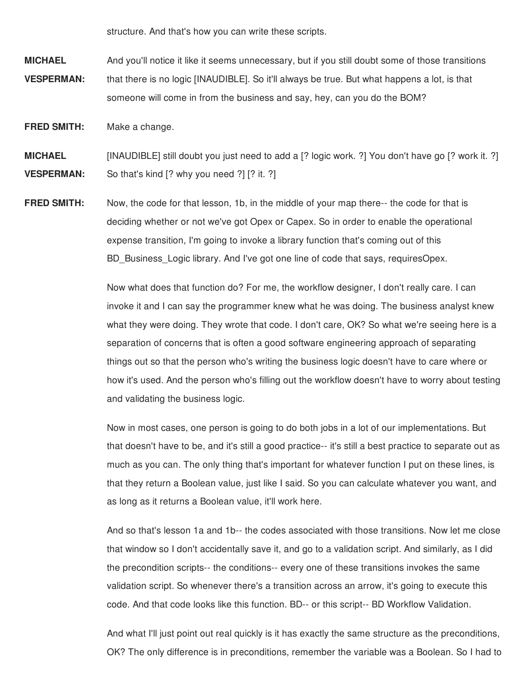structure. And that's how you can write these scripts.

**MICHAEL VESPERMAN:** And you'll notice it like it seems unnecessary, but if you still doubt some of those transitions that there is no logic [INAUDIBLE]. So it'll always be true. But what happens a lot, is that someone will come in from the business and say, hey, can you do the BOM?

**FRED SMITH:** Make a change.

**MICHAEL VESPERMAN:** [INAUDIBLE] still doubt you just need to add a [? logic work. ?] You don't have go [? work it. ?] So that's kind [? why you need ?] [? it. ?]

**FRED SMITH:** Now, the code for that lesson, 1b, in the middle of your map there-- the code for that is deciding whether or not we've got Opex or Capex. So in order to enable the operational expense transition, I'm going to invoke a library function that's coming out of this BD Business Logic library. And I've got one line of code that says, requiresOpex.

> Now what does that function do? For me, the workflow designer, I don't really care. I can invoke it and I can say the programmer knew what he was doing. The business analyst knew what they were doing. They wrote that code. I don't care, OK? So what we're seeing here is a separation of concerns that is often a good software engineering approach of separating things out so that the person who's writing the business logic doesn't have to care where or how it's used. And the person who's filling out the workflow doesn't have to worry about testing and validating the business logic.

> Now in most cases, one person is going to do both jobs in a lot of our implementations. But that doesn't have to be, and it's still a good practice-- it's still a best practice to separate out as much as you can. The only thing that's important for whatever function I put on these lines, is that they return a Boolean value, just like I said. So you can calculate whatever you want, and as long as it returns a Boolean value, it'll work here.

> And so that's lesson 1a and 1b-- the codes associated with those transitions. Now let me close that window so I don't accidentally save it, and go to a validation script. And similarly, as I did the precondition scripts-- the conditions-- every one of these transitions invokes the same validation script. So whenever there's a transition across an arrow, it's going to execute this code. And that code looks like this function. BD-- or this script-- BD Workflow Validation.

> And what I'll just point out real quickly is it has exactly the same structure as the preconditions, OK? The only difference is in preconditions, remember the variable was a Boolean. So I had to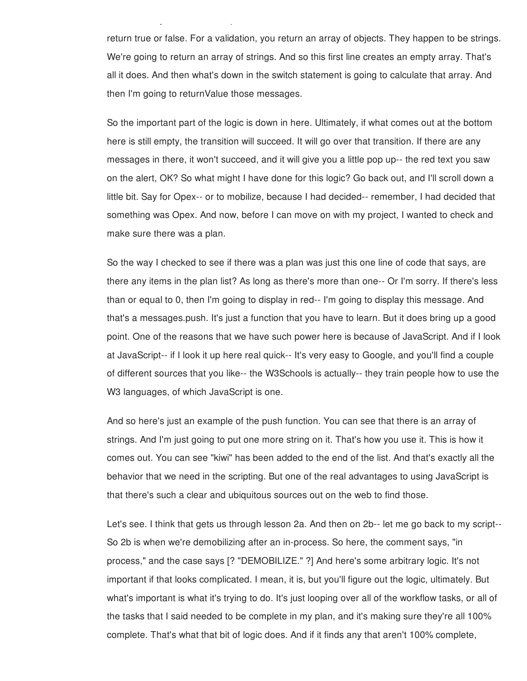return true or false. For a validation, you return an array of objects. They happen to be strings. We're going to return an array of strings. And so this first line creates an empty array. That's all it does. And then what's down in the switch statement is going to calculate that array. And then I'm going to returnValue those messages.

OK? The only difference is in preconditions, remember the variable was a Boolean. So I had to

So the important part of the logic is down in here. Ultimately, if what comes out at the bottom here is still empty, the transition will succeed. It will go over that transition. If there are any messages in there, it won't succeed, and it will give you a little pop up-- the red text you saw on the alert, OK? So what might I have done for this logic? Go back out, and I'll scroll down a little bit. Say for Opex-- or to mobilize, because I had decided-- remember, I had decided that something was Opex. And now, before I can move on with my project, I wanted to check and make sure there was a plan.

So the way I checked to see if there was a plan was just this one line of code that says, are there any items in the plan list? As long as there's more than one-- Or I'm sorry. If there's less than or equal to 0, then I'm going to display in red-- I'm going to display this message. And that's a messages.push. It's just a function that you have to learn. But it does bring up a good point. One of the reasons that we have such power here is because of JavaScript. And if I look at JavaScript-- if I look it up here real quick-- It's very easy to Google, and you'll find a couple of different sources that you like-- the W3Schools is actually-- they train people how to use the W3 languages, of which JavaScript is one.

And so here's just an example of the push function. You can see that there is an array of strings. And I'm just going to put one more string on it. That's how you use it. This is how it comes out. You can see "kiwi" has been added to the end of the list. And that's exactly all the behavior that we need in the scripting. But one of the real advantages to using JavaScript is that there's such a clear and ubiquitous sources out on the web to find those.

Let's see. I think that gets us through lesson 2a. And then on 2b-- let me go back to my script-- So 2b is when we're demobilizing after an in-process. So here, the comment says, "in process," and the case says [? "DEMOBILIZE." ?] And here's some arbitrary logic. It's not important if that looks complicated. I mean, it is, but you'll figure out the logic, ultimately. But what's important is what it's trying to do. It's just looping over all of the workflow tasks, or all of the tasks that I said needed to be complete in my plan, and it's making sure they're all 100% complete. That's what that bit of logic does. And if it finds any that aren't 100% complete,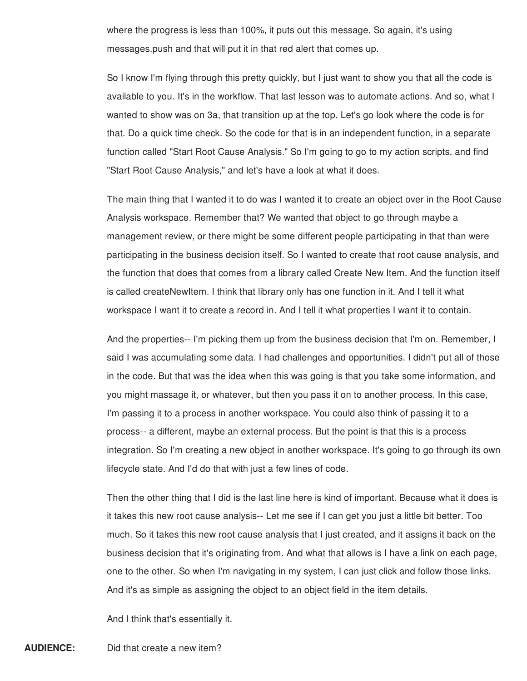where the progress is less than 100%, it puts out this message. So again, it's using messages.push and that will put it in that red alert that comes up.

So I know I'm flying through this pretty quickly, but I just want to show you that all the code is available to you. It's in the workflow. That last lesson was to automate actions. And so, what I wanted to show was on 3a, that transition up at the top. Let's go look where the code is for that. Do a quick time check. So the code for that is in an independent function, in a separate function called "Start Root Cause Analysis." So I'm going to go to my action scripts, and find "Start Root Cause Analysis," and let's have a look at what it does.

The main thing that I wanted it to do was I wanted it to create an object over in the Root Cause Analysis workspace. Remember that? We wanted that object to go through maybe a management review, or there might be some different people participating in that than were participating in the business decision itself. So I wanted to create that root cause analysis, and the function that does that comes from a library called Create New Item. And the function itself is called createNewItem. I think that library only has one function in it. And I tell it what workspace I want it to create a record in. And I tell it what properties I want it to contain.

And the properties-- I'm picking them up from the business decision that I'm on. Remember, I said I was accumulating some data. I had challenges and opportunities. I didn't put all of those in the code. But that was the idea when this was going is that you take some information, and you might massage it, or whatever, but then you pass it on to another process. In this case, I'm passing it to a process in another workspace. You could also think of passing it to a process-- a different, maybe an external process. But the point is that this is a process integration. So I'm creating a new object in another workspace. It's going to go through its own lifecycle state. And I'd do that with just a few lines of code.

Then the other thing that I did is the last line here is kind of important. Because what it does is it takes this new root cause analysis-- Let me see if I can get you just a little bit better. Too much. So it takes this new root cause analysis that I just created, and it assigns it back on the business decision that it's originating from. And what that allows is I have a link on each page, one to the other. So when I'm navigating in my system, I can just click and follow those links. And it's as simple as assigning the object to an object field in the item details.

And I think that's essentially it.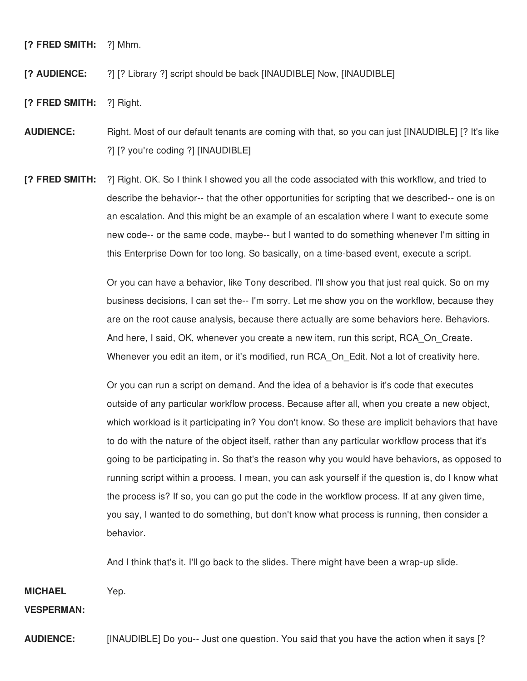**[? FRED SMITH:** ?] Mhm.

**[? AUDIENCE:** ?] [? Library ?] script should be back [INAUDIBLE] Now, [INAUDIBLE]

- **[? FRED SMITH:** ?] Right.
- **AUDIENCE:** Right. Most of our default tenants are coming with that, so you can just [INAUDIBLE] [? It's like ?] [? you're coding ?] [INAUDIBLE]
- **[? FRED SMITH:** ?] Right. OK. So I think I showed you all the code associated with this workflow, and tried to describe the behavior-- that the other opportunities for scripting that we described-- one is on an escalation. And this might be an example of an escalation where I want to execute some new code-- or the same code, maybe-- but I wanted to do something whenever I'm sitting in this Enterprise Down for too long. So basically, on a time-based event, execute a script.

Or you can have a behavior, like Tony described. I'll show you that just real quick. So on my business decisions, I can set the-- I'm sorry. Let me show you on the workflow, because they are on the root cause analysis, because there actually are some behaviors here. Behaviors. And here, I said, OK, whenever you create a new item, run this script, RCA\_On\_Create. Whenever you edit an item, or it's modified, run RCA On Edit. Not a lot of creativity here.

Or you can run a script on demand. And the idea of a behavior is it's code that executes outside of any particular workflow process. Because after all, when you create a new object, which workload is it participating in? You don't know. So these are implicit behaviors that have to do with the nature of the object itself, rather than any particular workflow process that it's going to be participating in. So that's the reason why you would have behaviors, as opposed to running script within a process. I mean, you can ask yourself if the question is, do I know what the process is? If so, you can go put the code in the workflow process. If at any given time, you say, I wanted to do something, but don't know what process is running, then consider a behavior.

And I think that's it. I'll go back to the slides. There might have been a wrap-up slide.

**MICHAEL** Yep.

**VESPERMAN:**

**AUDIENCE:** [INAUDIBLE] Do you-- Just one question. You said that you have the action when it says [?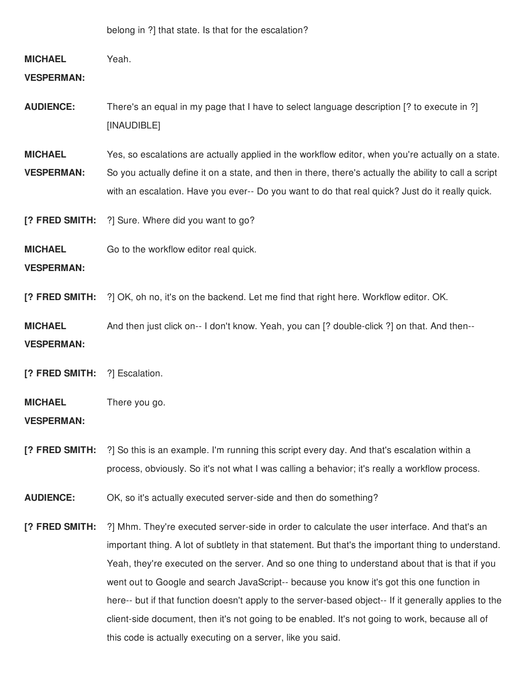belong in ?] that state. Is that for the escalation?

# **MICHAEL VESPERMAN:** Yeah. **AUDIENCE:** There's an equal in my page that I have to select language description [? to execute in ?] [INAUDIBLE] **MICHAEL VESPERMAN:** Yes, so escalations are actually applied in the workflow editor, when you're actually on a state. So you actually define it on a state, and then in there, there's actually the ability to call a script with an escalation. Have you ever-- Do you want to do that real quick? Just do it really quick.

**[? FRED SMITH:** ?] Sure. Where did you want to go?

**MICHAEL** Go to the workflow editor real quick.

**VESPERMAN:**

**[? FRED SMITH:** ?] OK, oh no, it's on the backend. Let me find that right here. Workflow editor. OK.

**MICHAEL VESPERMAN:** And then just click on-- I don't know. Yeah, you can [? double-click ?] on that. And then--

**[? FRED SMITH:** ?] Escalation.

#### **MICHAEL** There you go.

**VESPERMAN:**

**[? FRED SMITH:** ?] So this is an example. I'm running this script every day. And that's escalation within a process, obviously. So it's not what I was calling a behavior; it's really a workflow process.

**AUDIENCE:** OK, so it's actually executed server-side and then do something?

**[? FRED SMITH:** ?] Mhm. They're executed server-side in order to calculate the user interface. And that's an important thing. A lot of subtlety in that statement. But that's the important thing to understand. Yeah, they're executed on the server. And so one thing to understand about that is that if you went out to Google and search JavaScript-- because you know it's got this one function in here-- but if that function doesn't apply to the server-based object-- If it generally applies to the client-side document, then it's not going to be enabled. It's not going to work, because all of this code is actually executing on a server, like you said.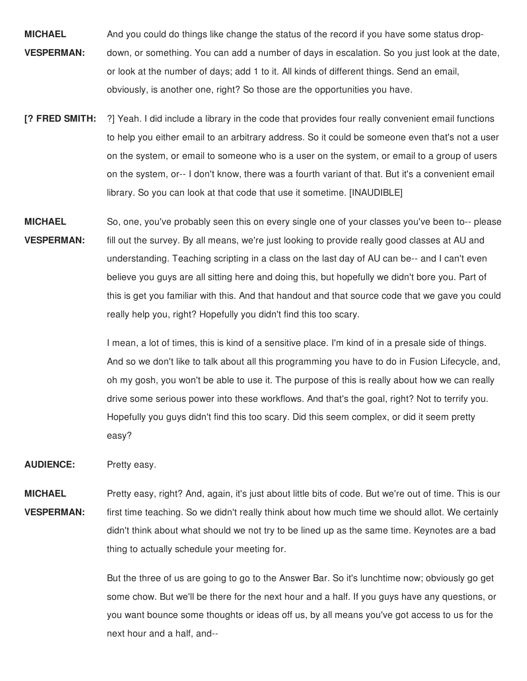- **MICHAEL VESPERMAN:** And you could do things like change the status of the record if you have some status dropdown, or something. You can add a number of days in escalation. So you just look at the date, or look at the number of days; add 1 to it. All kinds of different things. Send an email, obviously, is another one, right? So those are the opportunities you have.
- **[? FRED SMITH:** ?] Yeah. I did include a library in the code that provides four really convenient email functions to help you either email to an arbitrary address. So it could be someone even that's not a user on the system, or email to someone who is a user on the system, or email to a group of users on the system, or-- I don't know, there was a fourth variant of that. But it's a convenient email library. So you can look at that code that use it sometime. [INAUDIBLE]
- **MICHAEL VESPERMAN:** So, one, you've probably seen this on every single one of your classes you've been to-- please fill out the survey. By all means, we're just looking to provide really good classes at AU and understanding. Teaching scripting in a class on the last day of AU can be-- and I can't even believe you guys are all sitting here and doing this, but hopefully we didn't bore you. Part of this is get you familiar with this. And that handout and that source code that we gave you could really help you, right? Hopefully you didn't find this too scary.

I mean, a lot of times, this is kind of a sensitive place. I'm kind of in a presale side of things. And so we don't like to talk about all this programming you have to do in Fusion Lifecycle, and, oh my gosh, you won't be able to use it. The purpose of this is really about how we can really drive some serious power into these workflows. And that's the goal, right? Not to terrify you. Hopefully you guys didn't find this too scary. Did this seem complex, or did it seem pretty easy?

**AUDIENCE:** Pretty easy.

**MICHAEL VESPERMAN:** Pretty easy, right? And, again, it's just about little bits of code. But we're out of time. This is our first time teaching. So we didn't really think about how much time we should allot. We certainly didn't think about what should we not try to be lined up as the same time. Keynotes are a bad thing to actually schedule your meeting for.

> But the three of us are going to go to the Answer Bar. So it's lunchtime now; obviously go get some chow. But we'll be there for the next hour and a half. If you guys have any questions, or you want bounce some thoughts or ideas off us, by all means you've got access to us for the next hour and a half, and--